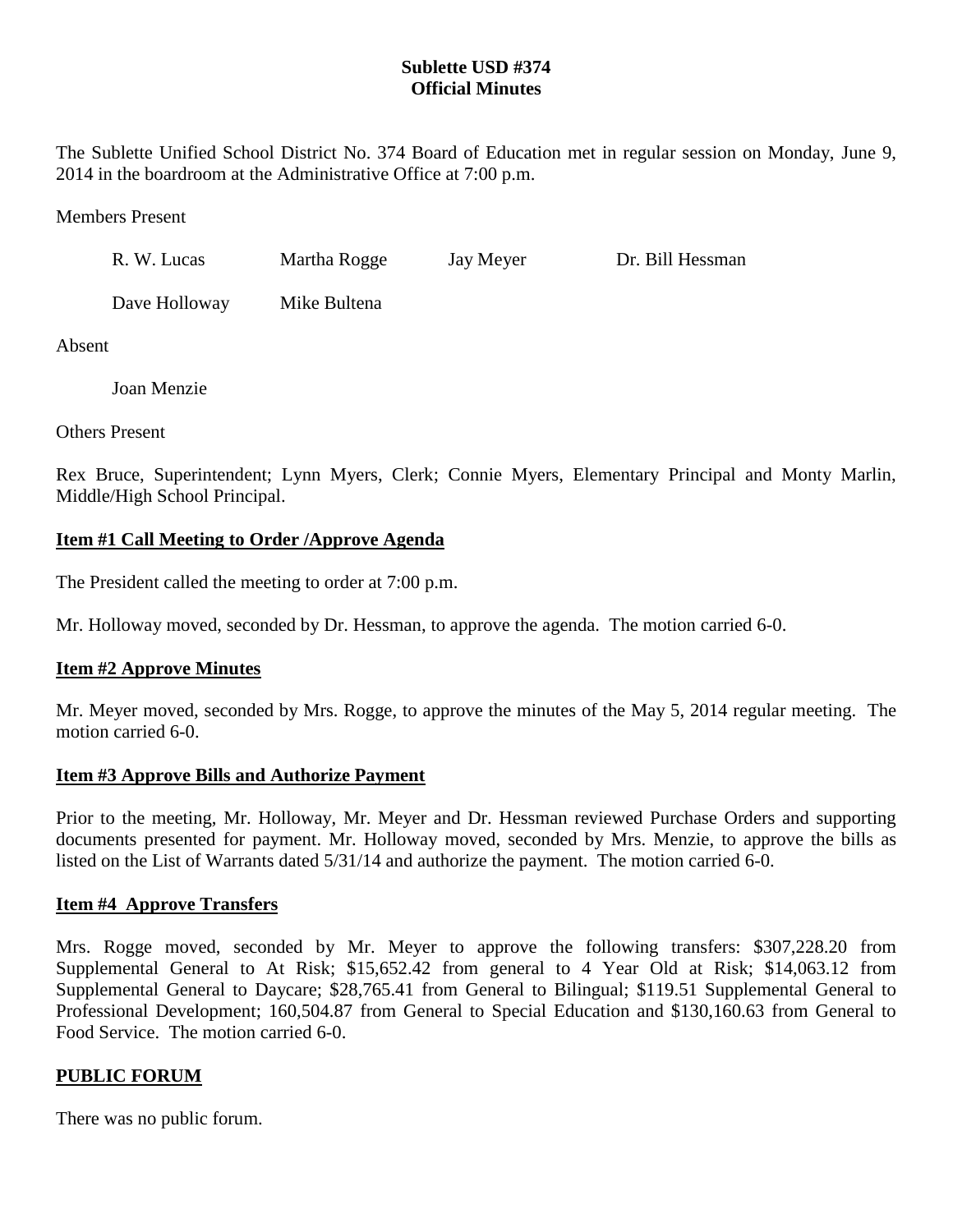## **Sublette USD #374 Official Minutes**

The Sublette Unified School District No. 374 Board of Education met in regular session on Monday, June 9, 2014 in the boardroom at the Administrative Office at 7:00 p.m.

Members Present

| R. W. Lucas   | Martha Rogge | Jay Meyer | Dr. Bill Hessman |
|---------------|--------------|-----------|------------------|
| Dave Holloway | Mike Bultena |           |                  |

Absent

Joan Menzie

Others Present

Rex Bruce, Superintendent; Lynn Myers, Clerk; Connie Myers, Elementary Principal and Monty Marlin, Middle/High School Principal.

## **Item #1 Call Meeting to Order /Approve Agenda**

The President called the meeting to order at 7:00 p.m.

Mr. Holloway moved, seconded by Dr. Hessman, to approve the agenda. The motion carried 6-0.

#### **Item #2 Approve Minutes**

Mr. Meyer moved, seconded by Mrs. Rogge, to approve the minutes of the May 5, 2014 regular meeting. The motion carried 6-0.

#### **Item #3 Approve Bills and Authorize Payment**

Prior to the meeting, Mr. Holloway, Mr. Meyer and Dr. Hessman reviewed Purchase Orders and supporting documents presented for payment. Mr. Holloway moved, seconded by Mrs. Menzie, to approve the bills as listed on the List of Warrants dated 5/31/14 and authorize the payment. The motion carried 6-0.

#### **Item #4 Approve Transfers**

Mrs. Rogge moved, seconded by Mr. Meyer to approve the following transfers: \$307,228.20 from Supplemental General to At Risk; \$15,652.42 from general to 4 Year Old at Risk; \$14,063.12 from Supplemental General to Daycare; \$28,765.41 from General to Bilingual; \$119.51 Supplemental General to Professional Development; 160,504.87 from General to Special Education and \$130,160.63 from General to Food Service. The motion carried 6-0.

#### **PUBLIC FORUM**

There was no public forum.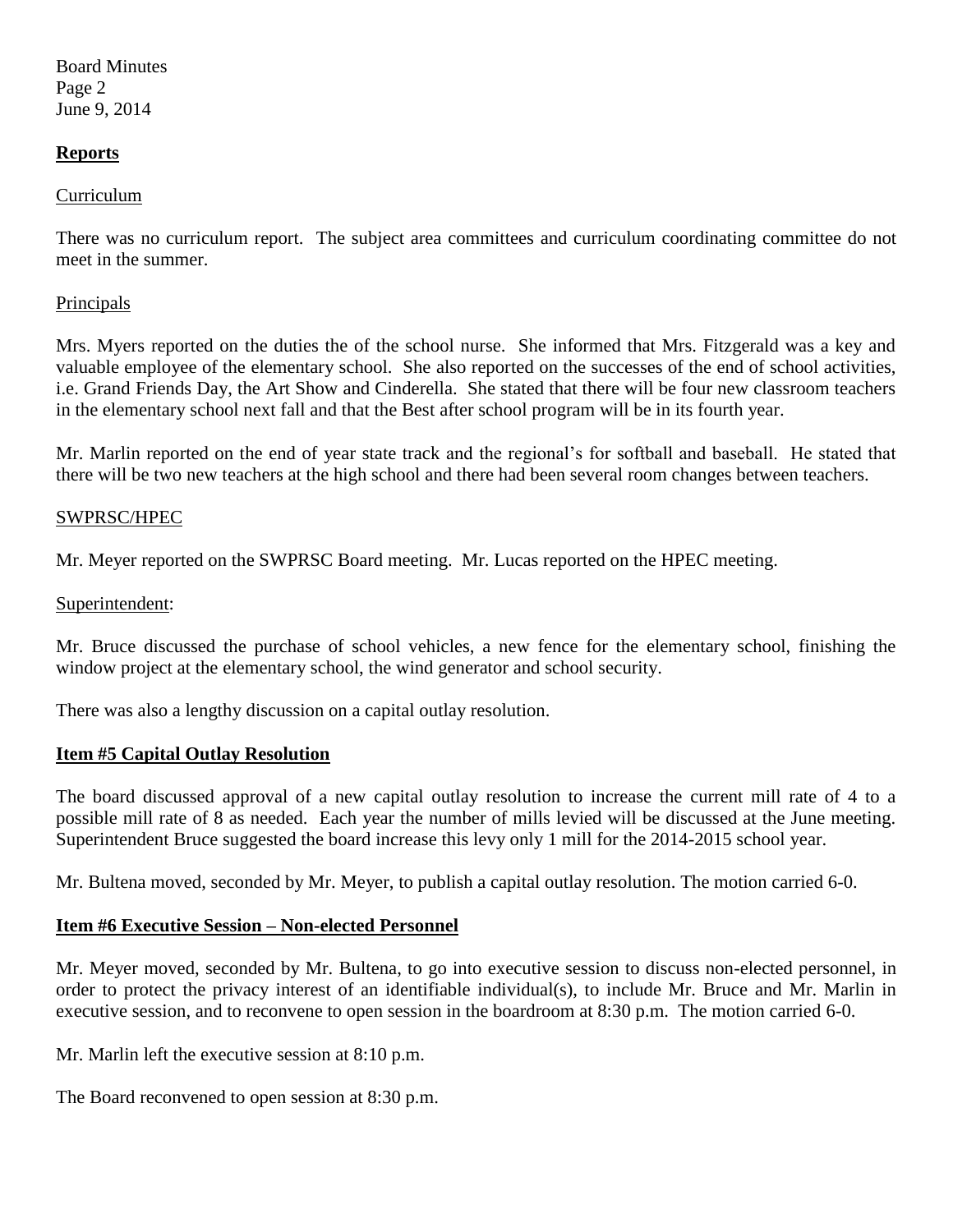Board Minutes Page 2 June 9, 2014

### **Reports**

#### Curriculum

There was no curriculum report. The subject area committees and curriculum coordinating committee do not meet in the summer.

#### **Principals**

Mrs. Myers reported on the duties the of the school nurse. She informed that Mrs. Fitzgerald was a key and valuable employee of the elementary school. She also reported on the successes of the end of school activities, i.e. Grand Friends Day, the Art Show and Cinderella. She stated that there will be four new classroom teachers in the elementary school next fall and that the Best after school program will be in its fourth year.

Mr. Marlin reported on the end of year state track and the regional's for softball and baseball. He stated that there will be two new teachers at the high school and there had been several room changes between teachers.

#### SWPRSC/HPEC

Mr. Meyer reported on the SWPRSC Board meeting. Mr. Lucas reported on the HPEC meeting.

#### Superintendent:

Mr. Bruce discussed the purchase of school vehicles, a new fence for the elementary school, finishing the window project at the elementary school, the wind generator and school security.

There was also a lengthy discussion on a capital outlay resolution.

#### **Item #5 Capital Outlay Resolution**

The board discussed approval of a new capital outlay resolution to increase the current mill rate of 4 to a possible mill rate of 8 as needed. Each year the number of mills levied will be discussed at the June meeting. Superintendent Bruce suggested the board increase this levy only 1 mill for the 2014-2015 school year.

Mr. Bultena moved, seconded by Mr. Meyer, to publish a capital outlay resolution. The motion carried 6-0.

#### **Item #6 Executive Session – Non-elected Personnel**

Mr. Meyer moved, seconded by Mr. Bultena, to go into executive session to discuss non-elected personnel, in order to protect the privacy interest of an identifiable individual(s), to include Mr. Bruce and Mr. Marlin in executive session, and to reconvene to open session in the boardroom at 8:30 p.m. The motion carried 6-0.

Mr. Marlin left the executive session at 8:10 p.m.

The Board reconvened to open session at 8:30 p.m.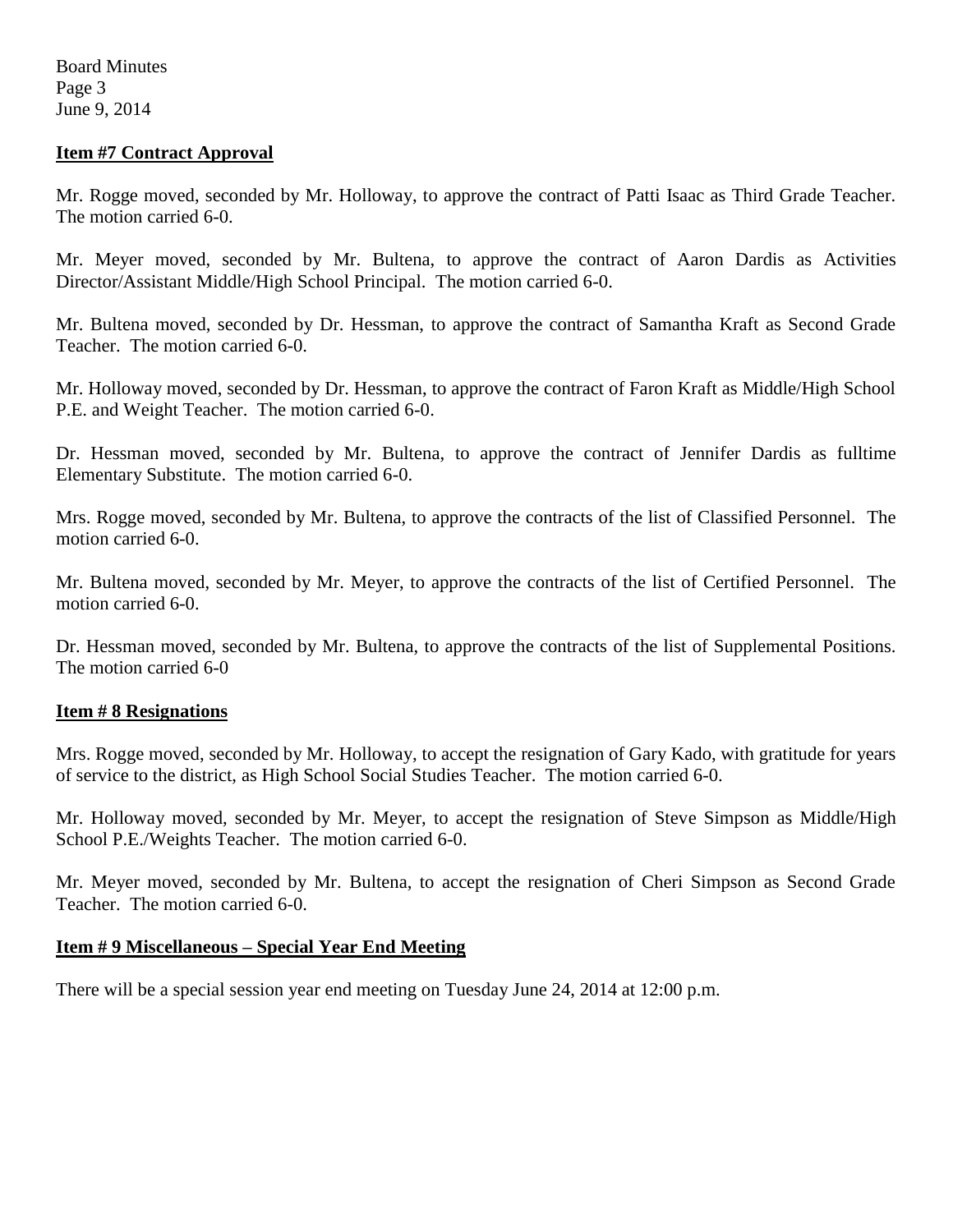### **Item #7 Contract Approval**

Mr. Rogge moved, seconded by Mr. Holloway, to approve the contract of Patti Isaac as Third Grade Teacher. The motion carried 6-0.

Mr. Meyer moved, seconded by Mr. Bultena, to approve the contract of Aaron Dardis as Activities Director/Assistant Middle/High School Principal. The motion carried 6-0.

Mr. Bultena moved, seconded by Dr. Hessman, to approve the contract of Samantha Kraft as Second Grade Teacher. The motion carried 6-0.

Mr. Holloway moved, seconded by Dr. Hessman, to approve the contract of Faron Kraft as Middle/High School P.E. and Weight Teacher. The motion carried 6-0.

Dr. Hessman moved, seconded by Mr. Bultena, to approve the contract of Jennifer Dardis as fulltime Elementary Substitute. The motion carried 6-0.

Mrs. Rogge moved, seconded by Mr. Bultena, to approve the contracts of the list of Classified Personnel. The motion carried 6-0.

Mr. Bultena moved, seconded by Mr. Meyer, to approve the contracts of the list of Certified Personnel. The motion carried 6-0.

Dr. Hessman moved, seconded by Mr. Bultena, to approve the contracts of the list of Supplemental Positions. The motion carried 6-0

#### **Item # 8 Resignations**

Mrs. Rogge moved, seconded by Mr. Holloway, to accept the resignation of Gary Kado, with gratitude for years of service to the district, as High School Social Studies Teacher. The motion carried 6-0.

Mr. Holloway moved, seconded by Mr. Meyer, to accept the resignation of Steve Simpson as Middle/High School P.E./Weights Teacher. The motion carried 6-0.

Mr. Meyer moved, seconded by Mr. Bultena, to accept the resignation of Cheri Simpson as Second Grade Teacher. The motion carried 6-0.

## **Item # 9 Miscellaneous – Special Year End Meeting**

There will be a special session year end meeting on Tuesday June 24, 2014 at 12:00 p.m.